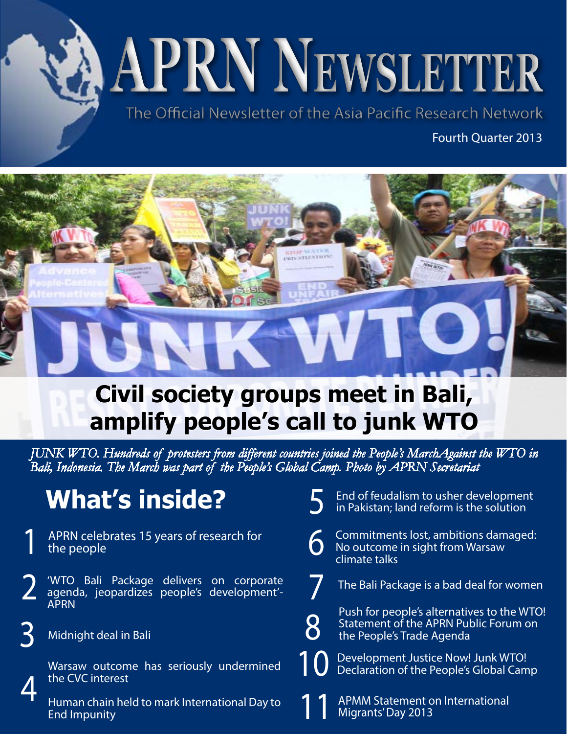**APRN Newsletter**

The Official Newsletter of the Asia Pacific Research Network

Fourth Quarter 2013



# **Civil society groups meet in Bali, amplify people's call to junk WTO**

*JUNK WTO. Hundreds of protesters from different countries joined the People's MarchAgainst the WTO in Bali, Indonesia. The March was part of the People's Global Camp. Photo by APRN Secretariat*

6

7

10

8

# **What's inside?**

- APRN celebrates 15 years of research for the people
- 2 'WTO Bali Package delivers on corporate agenda, jeopardizes people's development'- APRN
	- Midnight deal in Bali

4

3

- Warsaw outcome has seriously undermined the CVC interest
- Human chain held to mark International Day to End Impunity
- 5 End of feudalism to usher development in Pakistan; land reform is the solution
	- Commitments lost, ambitions damaged: No outcome in sight from Warsaw climate talks
	- The Bali Package is a bad deal for women
		- Push for people's alternatives to the WTO! Statement of the APRN Public Forum on the People's Trade Agenda
		- Development Justice Now! Junk WTO! Declaration of the People's Global Camp
- APMM Statement on International Migrants' Day 2013 11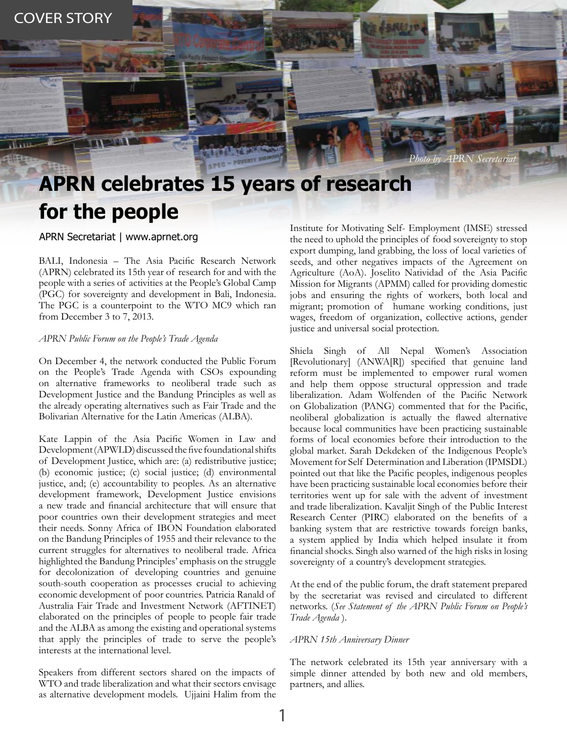*Photo by APRN Secretariat*

# **APRN celebrates 15 years of research for the people**

APRN Secretariat | www.aprnet.org

BALI, Indonesia – The Asia Pacific Research Network (APRN) celebrated its 15th year of research for and with the people with a series of activities at the People's Global Camp (PGC) for sovereignty and development in Bali, Indonesia. The PGC is a counterpoint to the WTO MC9 which ran from December 3 to 7, 2013.

### *APRN Public Forum on the People's Trade Agenda*

On December 4, the network conducted the Public Forum on the People's Trade Agenda with CSOs expounding on alternative frameworks to neoliberal trade such as Development Justice and the Bandung Principles as well as the already operating alternatives such as Fair Trade and the Bolivarian Alternative for the Latin Americas (ALBA).

Kate Lappin of the Asia Pacific Women in Law and Development (APWLD) discussed the five foundational shifts of Development Justice, which are: (a) redistributive justice; (b) economic justice; (c) social justice; (d) environmental justice, and; (e) accountability to peoples. As an alternative development framework, Development Justice envisions a new trade and financial architecture that will ensure that poor countries own their development strategies and meet their needs. Sonny Africa of IBON Foundation elaborated on the Bandung Principles of 1955 and their relevance to the current struggles for alternatives to neoliberal trade. Africa highlighted the Bandung Principles' emphasis on the struggle for decolonization of developing countries and genuine south-south cooperation as processes crucial to achieving economic development of poor countries. Patricia Ranald of Australia Fair Trade and Investment Network (AFTINET) elaborated on the principles of people to people fair trade and the ALBA as among the existing and operational systems that apply the principles of trade to serve the people's interests at the international level.

Speakers from different sectors shared on the impacts of WTO and trade liberalization and what their sectors envisage as alternative development models. Ujjaini Halim from the

Institute for Motivating Self- Employment (IMSE) stressed the need to uphold the principles of food sovereignty to stop export dumping, land grabbing, the loss of local varieties of seeds, and other negatives impacts of the Agreement on Agriculture (AoA). Joselito Natividad of the Asia Pacific Mission for Migrants (APMM) called for providing domestic jobs and ensuring the rights of workers, both local and migrant; promotion of humane working conditions, just wages, freedom of organization, collective actions, gender justice and universal social protection.

Shiela Singh of All Nepal Women's Association [Revolutionary] (ANWA[R]) specified that genuine land reform must be implemented to empower rural women and help them oppose structural oppression and trade liberalization. Adam Wolfenden of the Pacific Network on Globalization (PANG) commented that for the Pacific, neoliberal globalization is actually the flawed alternative because local communities have been practicing sustainable forms of local economies before their introduction to the global market. Sarah Dekdeken of the Indigenous People's Movement for Self Determination and Liberation (IPMSDL) pointed out that like the Pacific peoples, indigenous peoples have been practicing sustainable local economies before their territories went up for sale with the advent of investment and trade liberalization. Kavaljit Singh of the Public Interest Research Center (PIRC) elaborated on the benefits of a banking system that are restrictive towards foreign banks, a system applied by India which helped insulate it from financial shocks. Singh also warned of the high risks in losing sovereignty of a country's development strategies.

At the end of the public forum, the draft statement prepared by the secretariat was revised and circulated to different networks. (*See Statement of the APRN Public Forum on People's Trade Agenda* ).

#### *APRN 15th Anniversary Dinner*

The network celebrated its 15th year anniversary with a simple dinner attended by both new and old members, partners, and allies.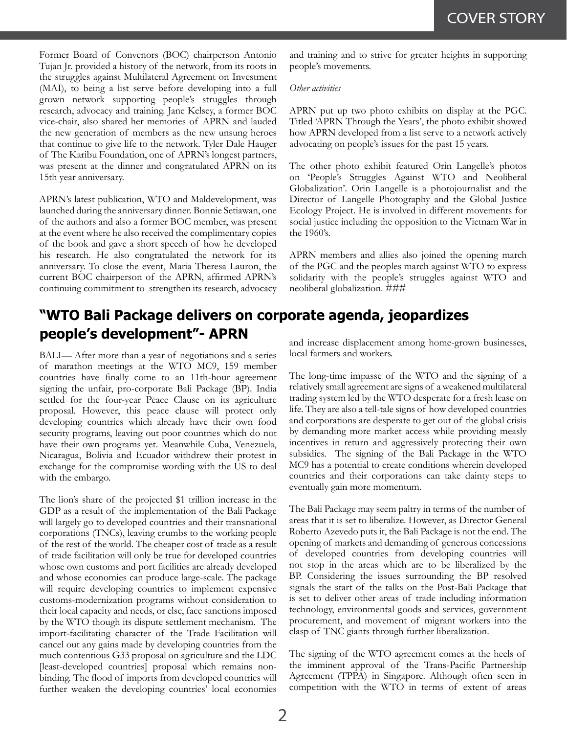Former Board of Convenors (BOC) chairperson Antonio Tujan Jr. provided a history of the network, from its roots in the struggles against Multilateral Agreement on Investment (MAI), to being a list serve before developing into a full grown network supporting people's struggles through research, advocacy and training. Jane Kelsey, a former BOC vice-chair, also shared her memories of APRN and lauded the new generation of members as the new unsung heroes that continue to give life to the network. Tyler Dale Hauger of The Karibu Foundation, one of APRN's longest partners, was present at the dinner and congratulated APRN on its 15th year anniversary.

APRN's latest publication, WTO and Maldevelopment, was launched during the anniversary dinner. Bonnie Setiawan, one of the authors and also a former BOC member, was present at the event where he also received the complimentary copies of the book and gave a short speech of how he developed his research. He also congratulated the network for its anniversary. To close the event, Maria Theresa Lauron, the current BOC chairperson of the APRN, affirmed APRN's continuing commitment to strengthen its research, advocacy

### and training and to strive for greater heights in supporting people's movements.

#### *Other activities*

APRN put up two photo exhibits on display at the PGC. Titled 'APRN Through the Years', the photo exhibit showed how APRN developed from a list serve to a network actively advocating on people's issues for the past 15 years.

The other photo exhibit featured Orin Langelle's photos on 'People's Struggles Against WTO and Neoliberal Globalization'. Orin Langelle is a photojournalist and the Director of Langelle Photography and the Global Justice Ecology Project. He is involved in different movements for social justice including the opposition to the Vietnam War in the 1960's.

APRN members and allies also joined the opening march of the PGC and the peoples march against WTO to express solidarity with the people's struggles against WTO and neoliberal globalization. ###

## **"WTO Bali Package delivers on corporate agenda, jeopardizes people's development"- APRN**

BALI— After more than a year of negotiations and a series of marathon meetings at the WTO MC9, 159 member countries have finally come to an 11th-hour agreement signing the unfair, pro-corporate Bali Package (BP). India settled for the four-year Peace Clause on its agriculture proposal. However, this peace clause will protect only developing countries which already have their own food security programs, leaving out poor countries which do not have their own programs yet. Meanwhile Cuba, Venezuela, Nicaragua, Bolivia and Ecuador withdrew their protest in exchange for the compromise wording with the US to deal with the embargo.

The lion's share of the projected \$1 trillion increase in the GDP as a result of the implementation of the Bali Package will largely go to developed countries and their transnational corporations (TNCs), leaving crumbs to the working people of the rest of the world. The cheaper cost of trade as a result of trade facilitation will only be true for developed countries whose own customs and port facilities are already developed and whose economies can produce large-scale. The package will require developing countries to implement expensive customs-modernization programs without consideration to their local capacity and needs, or else, face sanctions imposed by the WTO though its dispute settlement mechanism. The import-facilitating character of the Trade Facilitation will cancel out any gains made by developing countries from the much contentious G33 proposal on agriculture and the LDC [least-developed countries] proposal which remains nonbinding. The flood of imports from developed countries will further weaken the developing countries' local economies and increase displacement among home-grown businesses, local farmers and workers.

The long-time impasse of the WTO and the signing of a relatively small agreement are signs of a weakened multilateral trading system led by the WTO desperate for a fresh lease on life. They are also a tell-tale signs of how developed countries and corporations are desperate to get out of the global crisis by demanding more market access while providing measly incentives in return and aggressively protecting their own subsidies. The signing of the Bali Package in the WTO MC9 has a potential to create conditions wherein developed countries and their corporations can take dainty steps to eventually gain more momentum.

The Bali Package may seem paltry in terms of the number of areas that it is set to liberalize. However, as Director General Roberto Azevedo puts it, the Bali Package is not the end. The opening of markets and demanding of generous concessions of developed countries from developing countries will not stop in the areas which are to be liberalized by the BP. Considering the issues surrounding the BP resolved signals the start of the talks on the Post-Bali Package that is set to deliver other areas of trade including information technology, environmental goods and services, government procurement, and movement of migrant workers into the clasp of TNC giants through further liberalization.

The signing of the WTO agreement comes at the heels of the imminent approval of the Trans-Pacific Partnership Agreement (TPPA) in Singapore. Although often seen in competition with the WTO in terms of extent of areas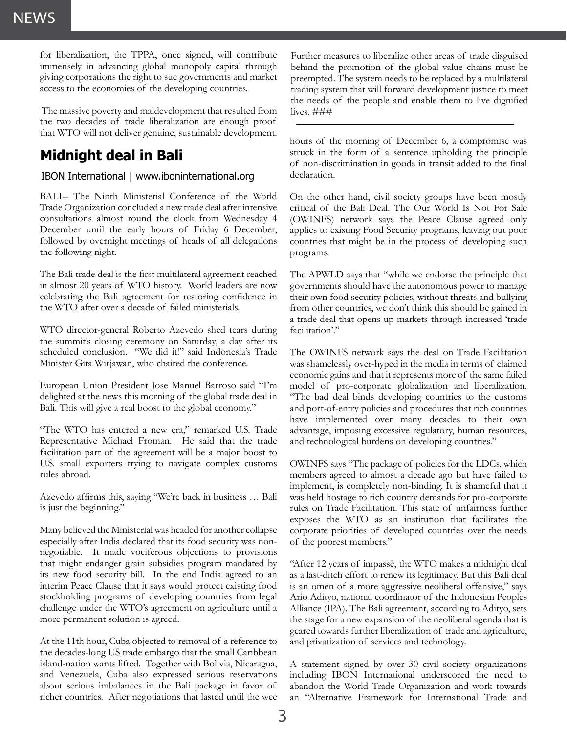for liberalization, the TPPA, once signed, will contribute immensely in advancing global monopoly capital through giving corporations the right to sue governments and market access to the economies of the developing countries.

 The massive poverty and maldevelopment that resulted from the two decades of trade liberalization are enough proof that WTO will not deliver genuine, sustainable development.

## **Midnight deal in Bali**

## IBON International | www.iboninternational.org

BALI-- The Ninth Ministerial Conference of the World Trade Organization concluded a new trade deal after intensive consultations almost round the clock from Wednesday 4 December until the early hours of Friday 6 December, followed by overnight meetings of heads of all delegations the following night.

The Bali trade deal is the first multilateral agreement reached in almost 20 years of WTO history. World leaders are now celebrating the Bali agreement for restoring confidence in the WTO after over a decade of failed ministerials.

WTO director-general Roberto Azevedo shed tears during the summit's closing ceremony on Saturday, a day after its scheduled conclusion. "We did it!" said Indonesia's Trade Minister Gita Wirjawan, who chaired the conference.

European Union President Jose Manuel Barroso said "I'm delighted at the news this morning of the global trade deal in Bali. This will give a real boost to the global economy."

"The WTO has entered a new era," remarked U.S. Trade Representative Michael Froman. He said that the trade facilitation part of the agreement will be a major boost to U.S. small exporters trying to navigate complex customs rules abroad.

Azevedo affirms this, saying "We're back in business … Bali is just the beginning."

Many believed the Ministerial was headed for another collapse especially after India declared that its food security was nonnegotiable. It made vociferous objections to provisions that might endanger grain subsidies program mandated by its new food security bill. In the end India agreed to an interim Peace Clause that it says would protect existing food stockholding programs of developing countries from legal challenge under the WTO's agreement on agriculture until a more permanent solution is agreed.

At the 11th hour, Cuba objected to removal of a reference to the decades-long US trade embargo that the small Caribbean island-nation wants lifted. Together with Bolivia, Nicaragua, and Venezuela, Cuba also expressed serious reservations about serious imbalances in the Bali package in favor of richer countries. After negotiations that lasted until the wee Further measures to liberalize other areas of trade disguised behind the promotion of the global value chains must be preempted. The system needs to be replaced by a multilateral trading system that will forward development justice to meet the needs of the people and enable them to live dignified lives. ###

hours of the morning of December 6, a compromise was struck in the form of a sentence upholding the principle of non-discrimination in goods in transit added to the final declaration.

On the other hand, civil society groups have been mostly critical of the Bali Deal. The Our World Is Not For Sale (OWINFS) network says the Peace Clause agreed only applies to existing Food Security programs, leaving out poor countries that might be in the process of developing such programs.

The APWLD says that "while we endorse the principle that governments should have the autonomous power to manage their own food security policies, without threats and bullying from other countries, we don't think this should be gained in a trade deal that opens up markets through increased 'trade facilitation'."

The OWINFS network says the deal on Trade Facilitation was shamelessly over-hyped in the media in terms of claimed economic gains and that it represents more of the same failed model of pro-corporate globalization and liberalization. "The bad deal binds developing countries to the customs and port-of-entry policies and procedures that rich countries have implemented over many decades to their own advantage, imposing excessive regulatory, human resources, and technological burdens on developing countries."

OWINFS says "The package of policies for the LDCs, which members agreed to almost a decade ago but have failed to implement, is completely non-binding. It is shameful that it was held hostage to rich country demands for pro-corporate rules on Trade Facilitation. This state of unfairness further exposes the WTO as an institution that facilitates the corporate priorities of developed countries over the needs of the poorest members."

"After 12 years of impassè, the WTO makes a midnight deal as a last-ditch effort to renew its legitimacy. But this Bali deal is an omen of a more aggressive neoliberal offensive," says Ario Adityo, national coordinator of the Indonesian Peoples Alliance (IPA). The Bali agreement, according to Adityo, sets the stage for a new expansion of the neoliberal agenda that is geared towards further liberalization of trade and agriculture, and privatization of services and technology.

A statement signed by over 30 civil society organizations including IBON International underscored the need to abandon the World Trade Organization and work towards an "Alternative Framework for International Trade and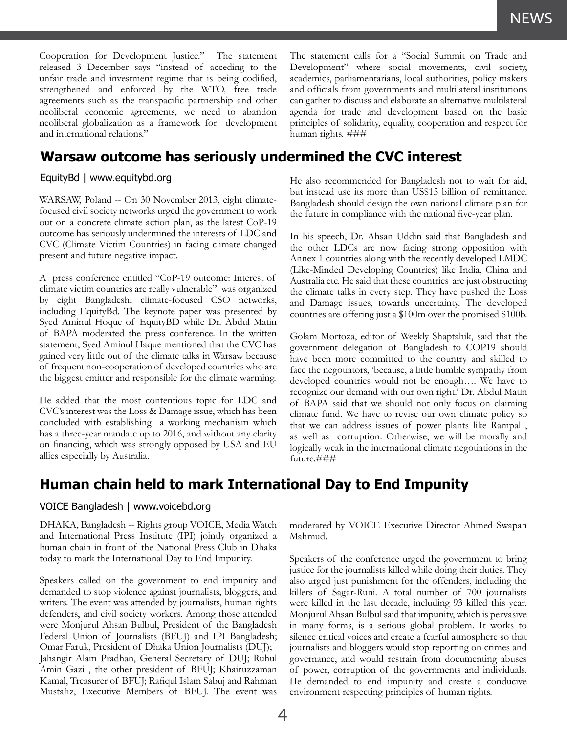Cooperation for Development Justice." The statement released 3 December says "instead of acceding to the unfair trade and investment regime that is being codified, strengthened and enforced by the WTO, free trade agreements such as the transpacific partnership and other neoliberal economic agreements, we need to abandon neoliberal globalization as a framework for development and international relations."

**Warsaw outcome has seriously undermined the CVC interest**

## EquityBd | www.equitybd.org

WARSAW, Poland -- On 30 November 2013, eight climatefocused civil society networks urged the government to work out on a concrete climate action plan, as the latest CoP-19 outcome has seriously undermined the interests of LDC and CVC (Climate Victim Countries) in facing climate changed present and future negative impact.

A press conference entitled "CoP-19 outcome: Interest of climate victim countries are really vulnerable" was organized by eight Bangladeshi climate-focused CSO networks, including EquityBd. The keynote paper was presented by Syed Aminul Hoque of EquityBD while Dr. Abdul Matin of BAPA moderated the press conference. In the written statement, Syed Aminul Haque mentioned that the CVC has gained very little out of the climate talks in Warsaw because of frequent non-cooperation of developed countries who are the biggest emitter and responsible for the climate warming.

He added that the most contentious topic for LDC and CVC's interest was the Loss & Damage issue, which has been concluded with establishing a working mechanism which has a three-year mandate up to 2016, and without any clarity on financing, which was strongly opposed by USA and EU allies especially by Australia.

The statement calls for a "Social Summit on Trade and Development" where social movements, civil society, academics, parliamentarians, local authorities, policy makers and officials from governments and multilateral institutions can gather to discuss and elaborate an alternative multilateral agenda for trade and development based on the basic principles of solidarity, equality, cooperation and respect for human rights. ###

He also recommended for Bangladesh not to wait for aid, but instead use its more than US\$15 billion of remittance. Bangladesh should design the own national climate plan for the future in compliance with the national five-year plan.

In his speech, Dr. Ahsan Uddin said that Bangladesh and the other LDCs are now facing strong opposition with Annex 1 countries along with the recently developed LMDC (Like-Minded Developing Countries) like India, China and Australia etc. He said that these countries are just obstructing the climate talks in every step. They have pushed the Loss and Damage issues, towards uncertainty. The developed countries are offering just a \$100m over the promised \$100b.

Golam Mortoza, editor of Weekly Shaptahik, said that the government delegation of Bangladesh to COP19 should have been more committed to the country and skilled to face the negotiators, 'because, a little humble sympathy from developed countries would not be enough…. We have to recognize our demand with our own right.' Dr. Abdul Matin of BAPA said that we should not only focus on claiming climate fund. We have to revise our own climate policy so that we can address issues of power plants like Rampal , as well as corruption. Otherwise, we will be morally and logically weak in the international climate negotiations in the future.###

## **Human chain held to mark International Day to End Impunity**

## VOICE Bangladesh | www.voicebd.org

DHAKA, Bangladesh -- Rights group VOICE, Media Watch and International Press Institute (IPI) jointly organized a human chain in front of the National Press Club in Dhaka today to mark the International Day to End Impunity.

Speakers called on the government to end impunity and demanded to stop violence against journalists, bloggers, and writers. The event was attended by journalists, human rights defenders, and civil society workers. Among those attended were Monjurul Ahsan Bulbul, President of the Bangladesh Federal Union of Journalists (BFUJ) and IPI Bangladesh; Omar Faruk, President of Dhaka Union Journalists (DUJ); Jahangir Alam Pradhan, General Secretary of DUJ; Ruhul Amin Gazi , the other president of BFUJ; Khairuzzaman Kamal, Treasurer of BFUJ; Rafiqul Islam Sabuj and Rahman Mustafiz, Executive Members of BFUJ. The event was moderated by VOICE Executive Director Ahmed Swapan Mahmud.

Speakers of the conference urged the government to bring justice for the journalists killed while doing their duties. They also urged just punishment for the offenders, including the killers of Sagar-Runi. A total number of 700 journalists were killed in the last decade, including 93 killed this year. Monjurul Ahsan Bulbul said that impunity, which is pervasive in many forms, is a serious global problem. It works to silence critical voices and create a fearful atmosphere so that journalists and bloggers would stop reporting on crimes and governance, and would restrain from documenting abuses of power, corruption of the governments and individuals. He demanded to end impunity and create a conducive environment respecting principles of human rights.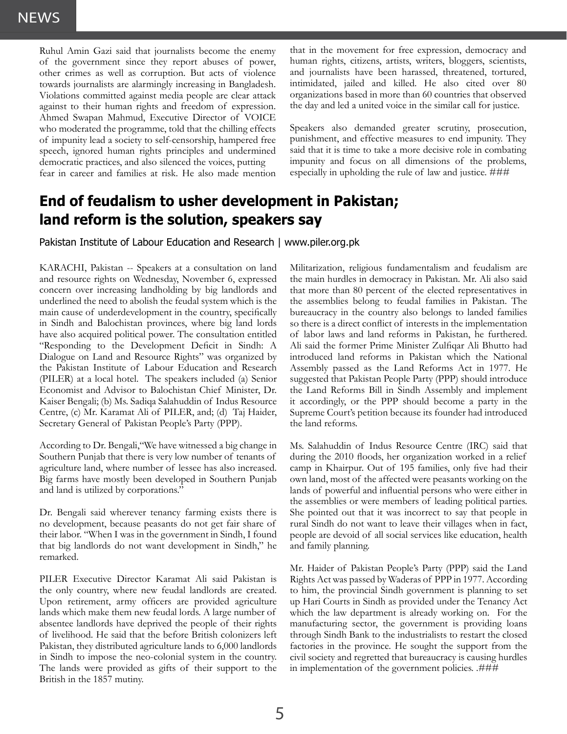Ruhul Amin Gazi said that journalists become the enemy of the government since they report abuses of power, other crimes as well as corruption. But acts of violence towards journalists are alarmingly increasing in Bangladesh. Violations committed against media people are clear attack against to their human rights and freedom of expression. Ahmed Swapan Mahmud, Executive Director of VOICE who moderated the programme, told that the chilling effects of impunity lead a society to self-censorship, hampered free speech, ignored human rights principles and undermined democratic practices, and also silenced the voices, putting fear in career and families at risk. He also made mention

that in the movement for free expression, democracy and human rights, citizens, artists, writers, bloggers, scientists, and journalists have been harassed, threatened, tortured, intimidated, jailed and killed. He also cited over 80 organizations based in more than 60 countries that observed the day and led a united voice in the similar call for justice.

Speakers also demanded greater scrutiny, prosecution, punishment, and effective measures to end impunity. They said that it is time to take a more decisive role in combating impunity and focus on all dimensions of the problems, especially in upholding the rule of law and justice. ###

## **End of feudalism to usher development in Pakistan; land reform is the solution, speakers say**

Pakistan Institute of Labour Education and Research | www.piler.org.pk

KARACHI, Pakistan -- Speakers at a consultation on land and resource rights on Wednesday, November 6, expressed concern over increasing landholding by big landlords and underlined the need to abolish the feudal system which is the main cause of underdevelopment in the country, specifically in Sindh and Balochistan provinces, where big land lords have also acquired political power. The consultation entitled "Responding to the Development Deficit in Sindh: A Dialogue on Land and Resource Rights" was organized by the Pakistan Institute of Labour Education and Research (PILER) at a local hotel. The speakers included (a) Senior Economist and Advisor to Balochistan Chief Minister, Dr. Kaiser Bengali; (b) Ms. Sadiqa Salahuddin of Indus Resource Centre, (c) Mr. Karamat Ali of PILER, and; (d) Taj Haider, Secretary General of Pakistan People's Party (PPP).

According to Dr. Bengali,"We have witnessed a big change in Southern Punjab that there is very low number of tenants of agriculture land, where number of lessee has also increased. Big farms have mostly been developed in Southern Punjab and land is utilized by corporations."

Dr. Bengali said wherever tenancy farming exists there is no development, because peasants do not get fair share of their labor. "When I was in the government in Sindh, I found that big landlords do not want development in Sindh," he remarked.

PILER Executive Director Karamat Ali said Pakistan is the only country, where new feudal landlords are created. Upon retirement, army officers are provided agriculture lands which make them new feudal lords. A large number of absentee landlords have deprived the people of their rights of livelihood. He said that the before British colonizers left Pakistan, they distributed agriculture lands to 6,000 landlords in Sindh to impose the neo-colonial system in the country. The lands were provided as gifts of their support to the British in the 1857 mutiny.

Militarization, religious fundamentalism and feudalism are the main hurdles in democracy in Pakistan. Mr. Ali also said that more than 80 percent of the elected representatives in the assemblies belong to feudal families in Pakistan. The bureaucracy in the country also belongs to landed families so there is a direct conflict of interests in the implementation of labor laws and land reforms in Pakistan, he furthered. Ali said the former Prime Minister Zulfiqar Ali Bhutto had introduced land reforms in Pakistan which the National Assembly passed as the Land Reforms Act in 1977. He suggested that Pakistan People Party (PPP) should introduce the Land Reforms Bill in Sindh Assembly and implement it accordingly, or the PPP should become a party in the Supreme Court's petition because its founder had introduced the land reforms.

Ms. Salahuddin of Indus Resource Centre (IRC) said that during the 2010 floods, her organization worked in a relief camp in Khairpur. Out of 195 families, only five had their own land, most of the affected were peasants working on the lands of powerful and influential persons who were either in the assemblies or were members of leading political parties. She pointed out that it was incorrect to say that people in rural Sindh do not want to leave their villages when in fact, people are devoid of all social services like education, health and family planning.

Mr. Haider of Pakistan People's Party (PPP) said the Land Rights Act was passed by Waderas of PPP in 1977. According to him, the provincial Sindh government is planning to set up Hari Courts in Sindh as provided under the Tenancy Act which the law department is already working on. For the manufacturing sector, the government is providing loans through Sindh Bank to the industrialists to restart the closed factories in the province. He sought the support from the civil society and regretted that bureaucracy is causing hurdles in implementation of the government policies. .###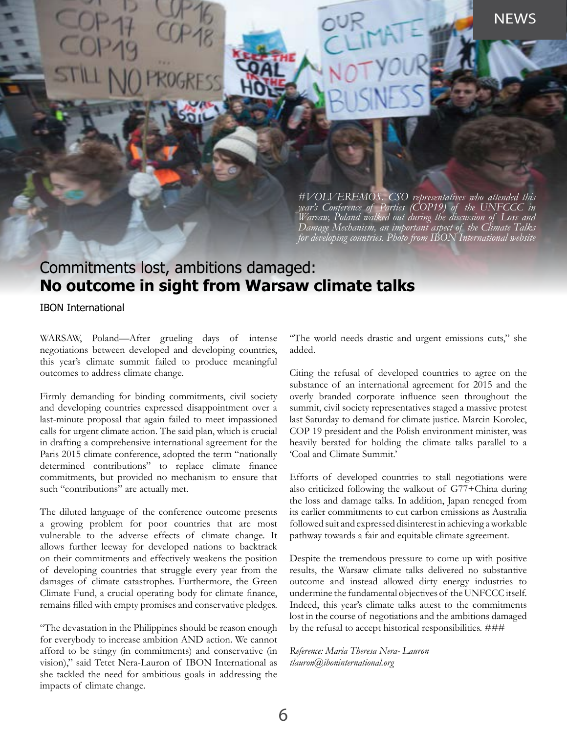**NEWS** 

*#VOLVEREMOS. CSO representatives who attended this year's Conference of Parties (COP19) of the UNFCCC in Warsaw, Poland walked out during the discussion of Loss and Damage Mechanism, an important aspect of the Climate Talks for developing countries. Photo from IBON International website*

## Commitments lost, ambitions damaged: **No outcome in sight from Warsaw climate talks**

IBON International

WARSAW, Poland—After grueling days of intense negotiations between developed and developing countries, this year's climate summit failed to produce meaningful outcomes to address climate change.

Firmly demanding for binding commitments, civil society and developing countries expressed disappointment over a last-minute proposal that again failed to meet impassioned calls for urgent climate action. The said plan, which is crucial in drafting a comprehensive international agreement for the Paris 2015 climate conference, adopted the term "nationally determined contributions" to replace climate finance commitments, but provided no mechanism to ensure that such "contributions" are actually met.

The diluted language of the conference outcome presents a growing problem for poor countries that are most vulnerable to the adverse effects of climate change. It allows further leeway for developed nations to backtrack on their commitments and effectively weakens the position of developing countries that struggle every year from the damages of climate catastrophes. Furthermore, the Green Climate Fund, a crucial operating body for climate finance, remains filled with empty promises and conservative pledges.

"The devastation in the Philippines should be reason enough for everybody to increase ambition AND action. We cannot afford to be stingy (in commitments) and conservative (in vision)," said Tetet Nera-Lauron of IBON International as she tackled the need for ambitious goals in addressing the impacts of climate change.

"The world needs drastic and urgent emissions cuts," she added.

Citing the refusal of developed countries to agree on the substance of an international agreement for 2015 and the overly branded corporate influence seen throughout the summit, civil society representatives staged a massive protest last Saturday to demand for climate justice. Marcin Korolec, COP 19 president and the Polish environment minister, was heavily berated for holding the climate talks parallel to a 'Coal and Climate Summit.'

Efforts of developed countries to stall negotiations were also criticized following the walkout of G77+China during the loss and damage talks. In addition, Japan reneged from its earlier commitments to cut carbon emissions as Australia followed suit and expressed disinterest in achieving a workable pathway towards a fair and equitable climate agreement.

by the refusal to accept historical responsibilities. ### Despite the tremendous pressure to come up with positive results, the Warsaw climate talks delivered no substantive outcome and instead allowed dirty energy industries to undermine the fundamental objectives of the UNFCCC itself. Indeed, this year's climate talks attest to the commitments lost in the course of negotiations and the ambitions damaged

*Reference: Maria Theresa Nera- Lauron tlauron@iboninternational.org*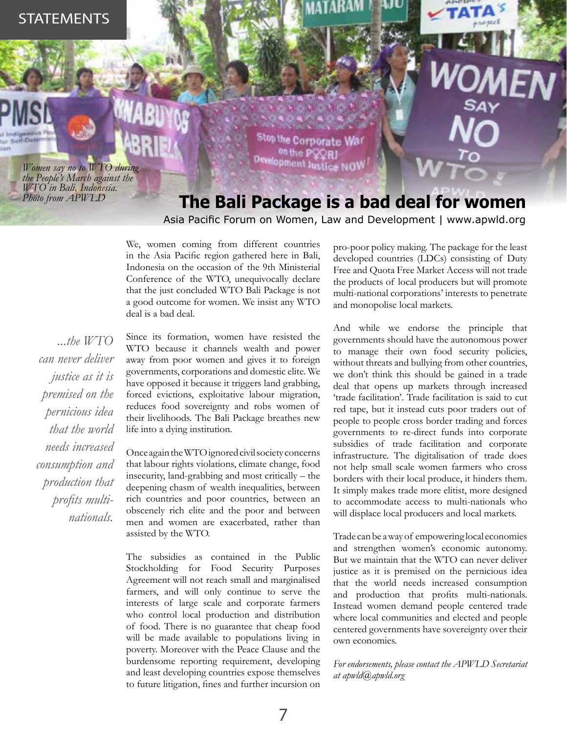*Women say no to WTO during the People's March against the WTO in Bali, Indonesia. Photo from APWLD*

Stop the Corporate Wa on the PC NOV

## **The Bali Package is a bad deal for women**

Asia Pacific Forum on Women, Law and Development | www.apwld.org

We, women coming from different countries in the Asia Pacific region gathered here in Bali, Indonesia on the occasion of the 9th Ministerial Conference of the WTO, unequivocally declare that the just concluded WTO Bali Package is not a good outcome for women. We insist any WTO deal is a bad deal.

*...the WTO can never deliver justice as it is premised on the pernicious idea that the world needs increased consumption and production that profits multinationals.* 

Since its formation, women have resisted the WTO because it channels wealth and power away from poor women and gives it to foreign governments, corporations and domestic elite. We have opposed it because it triggers land grabbing, forced evictions, exploitative labour migration, reduces food sovereignty and robs women of their livelihoods. The Bali Package breathes new life into a dying institution.

Once again the WTO ignored civil society concerns that labour rights violations, climate change, food insecurity, land-grabbing and most critically – the deepening chasm of wealth inequalities, between rich countries and poor countries, between an obscenely rich elite and the poor and between men and women are exacerbated, rather than assisted by the WTO.

The subsidies as contained in the Public Stockholding for Food Security Purposes Agreement will not reach small and marginalised farmers, and will only continue to serve the interests of large scale and corporate farmers who control local production and distribution of food. There is no guarantee that cheap food will be made available to populations living in poverty. Moreover with the Peace Clause and the burdensome reporting requirement, developing and least developing countries expose themselves to future litigation, fines and further incursion on

pro-poor policy making. The package for the least developed countries (LDCs) consisting of Duty Free and Quota Free Market Access will not trade the products of local producers but will promote multi-national corporations' interests to penetrate and monopolise local markets.

And while we endorse the principle that governments should have the autonomous power to manage their own food security policies, without threats and bullying from other countries, we don't think this should be gained in a trade deal that opens up markets through increased 'trade facilitation'. Trade facilitation is said to cut red tape, but it instead cuts poor traders out of people to people cross border trading and forces governments to re-direct funds into corporate subsidies of trade facilitation and corporate infrastructure. The digitalisation of trade does not help small scale women farmers who cross borders with their local produce, it hinders them. It simply makes trade more elitist, more designed to accommodate access to multi-nationals who will displace local producers and local markets.

Trade can be a way of empowering local economies and strengthen women's economic autonomy. But we maintain that the WTO can never deliver justice as it is premised on the pernicious idea that the world needs increased consumption and production that profits multi-nationals. Instead women demand people centered trade where local communities and elected and people centered governments have sovereignty over their own economies.

*For endorsements, please contact the APWLD Secretariat at apwld@apwld.org*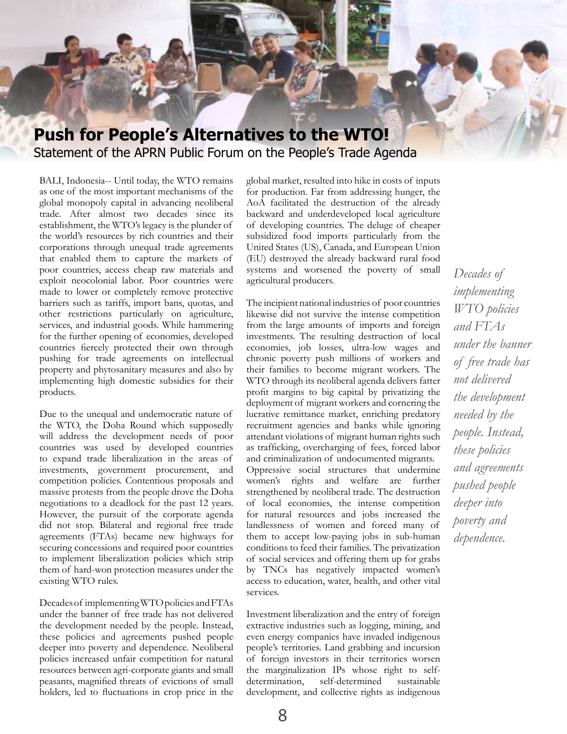

BALI, Indonesia-- Until today, the WTO remains as one of the most important mechanisms of the global monopoly capital in advancing neoliberal trade. After almost two decades since its establishment, the WTO's legacy is the plunder of the world's resources by rich countries and their corporations through unequal trade agreements that enabled them to capture the markets of poor countries, access cheap raw materials and exploit neocolonial labor. Poor countries were made to lower or completely remove protective barriers such as tariffs, import bans, quotas, and other restrictions particularly on agriculture, services, and industrial goods. While hammering for the further opening of economies, developed countries fiercely protected their own through pushing for trade agreements on intellectual property and phytosanitary measures and also by implementing high domestic subsidies for their products.

Due to the unequal and undemocratic nature of the WTO, the Doha Round which supposedly will address the development needs of poor countries was used by developed countries to expand trade liberalization in the areas of investments, government procurement, and competition policies. Contentious proposals and massive protests from the people drove the Doha negotiations to a deadlock for the past 12 years. However, the pursuit of the corporate agenda did not stop. Bilateral and regional free trade agreements (FTAs) became new highways for securing concessions and required poor countries to implement liberalization policies which strip them of hard-won protection measures under the existing WTO rules.

Decades of implementing WTO policies and FTAs under the banner of free trade has not delivered the development needed by the people. Instead, these policies and agreements pushed people deeper into poverty and dependence. Neoliberal policies increased unfair competition for natural resources between agri-corporate giants and small peasants, magnified threats of evictions of small holders, led to fluctuations in crop price in the

global market, resulted into hike in costs of inputs for production. Far from addressing hunger, the AoA facilitated the destruction of the already backward and underdeveloped local agriculture of developing countries. The deluge of cheaper subsidized food imports particularly from the United States (US), Canada, and European Union (EU) destroyed the already backward rural food systems and worsened the poverty of small agricultural producers.

The incipient national industries of poor countries likewise did not survive the intense competition from the large amounts of imports and foreign investments. The resulting destruction of local economies, job losses, ultra-low wages and chronic poverty push millions of workers and their families to become migrant workers. The WTO through its neoliberal agenda delivers fatter profit margins to big capital by privatizing the deployment of migrant workers and cornering the lucrative remittance market, enriching predatory recruitment agencies and banks while ignoring attendant violations of migrant human rights such as trafficking, overcharging of fees, forced labor and criminalization of undocumented migrants. Oppressive social structures that undermine women's rights and welfare are further strengthened by neoliberal trade. The destruction of local economies, the intense competition for natural resources and jobs increased the landlessness of women and forced many of them to accept low-paying jobs in sub-human conditions to feed their families. The privatization of social services and offering them up for grabs by TNCs has negatively impacted women's access to education, water, health, and other vital services.

Investment liberalization and the entry of foreign extractive industries such as logging, mining, and even energy companies have invaded indigenous people's territories. Land grabbing and incursion of foreign investors in their territories worsen the marginalization IPs whose right to selfdetermination, self-determined sustainable development, and collective rights as indigenous

*Decades of implementing WTO policies and FTAs under the banner of free trade has not delivered the development needed by the people. Instead, these policies and agreements pushed people deeper into poverty and dependence.*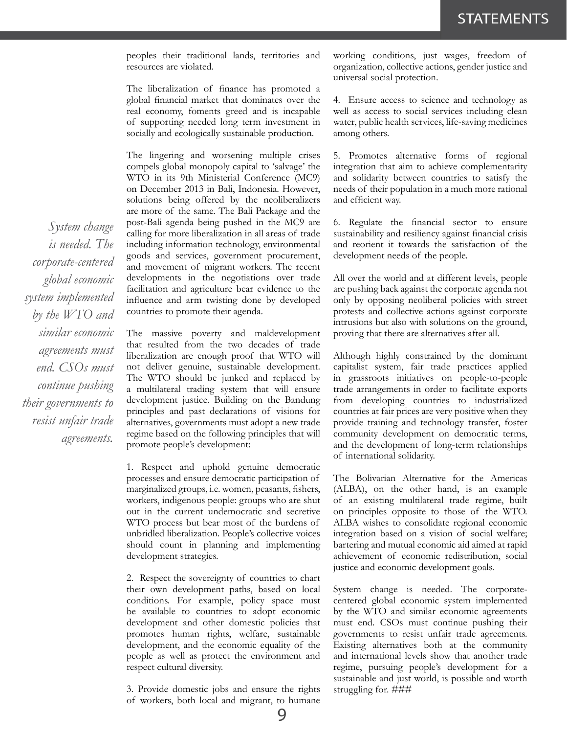peoples their traditional lands, territories and resources are violated.

The liberalization of finance has promoted a global financial market that dominates over the real economy, foments greed and is incapable of supporting needed long term investment in socially and ecologically sustainable production.

The lingering and worsening multiple crises compels global monopoly capital to 'salvage' the WTO in its 9th Ministerial Conference (MC9) on December 2013 in Bali, Indonesia. However, solutions being offered by the neoliberalizers are more of the same. The Bali Package and the post-Bali agenda being pushed in the MC9 are calling for more liberalization in all areas of trade including information technology, environmental goods and services, government procurement, and movement of migrant workers. The recent developments in the negotiations over trade facilitation and agriculture bear evidence to the influence and arm twisting done by developed countries to promote their agenda.

The massive poverty and maldevelopment that resulted from the two decades of trade liberalization are enough proof that WTO will not deliver genuine, sustainable development. The WTO should be junked and replaced by a multilateral trading system that will ensure development justice. Building on the Bandung principles and past declarations of visions for alternatives, governments must adopt a new trade regime based on the following principles that will promote people's development:

1. Respect and uphold genuine democratic processes and ensure democratic participation of marginalized groups, i.e. women, peasants, fishers, workers, indigenous people: groups who are shut out in the current undemocratic and secretive WTO process but bear most of the burdens of unbridled liberalization. People's collective voices should count in planning and implementing development strategies.

2. Respect the sovereignty of countries to chart their own development paths, based on local conditions. For example, policy space must be available to countries to adopt economic development and other domestic policies that promotes human rights, welfare, sustainable development, and the economic equality of the people as well as protect the environment and respect cultural diversity.

3. Provide domestic jobs and ensure the rights of workers, both local and migrant, to humane

working conditions, just wages, freedom of organization, collective actions, gender justice and universal social protection.

4. Ensure access to science and technology as well as access to social services including clean water, public health services, life-saving medicines among others.

5. Promotes alternative forms of regional integration that aim to achieve complementarity and solidarity between countries to satisfy the needs of their population in a much more rational and efficient way.

6. Regulate the financial sector to ensure sustainability and resiliency against financial crisis and reorient it towards the satisfaction of the development needs of the people.

All over the world and at different levels, people are pushing back against the corporate agenda not only by opposing neoliberal policies with street protests and collective actions against corporate intrusions but also with solutions on the ground, proving that there are alternatives after all.

Although highly constrained by the dominant capitalist system, fair trade practices applied in grassroots initiatives on people-to-people trade arrangements in order to facilitate exports from developing countries to industrialized countries at fair prices are very positive when they provide training and technology transfer, foster community development on democratic terms, and the development of long-term relationships of international solidarity.

The Bolivarian Alternative for the Americas (ALBA), on the other hand, is an example of an existing multilateral trade regime, built on principles opposite to those of the WTO. ALBA wishes to consolidate regional economic integration based on a vision of social welfare; bartering and mutual economic aid aimed at rapid achievement of economic redistribution, social justice and economic development goals.

System change is needed. The corporatecentered global economic system implemented by the WTO and similar economic agreements must end. CSOs must continue pushing their governments to resist unfair trade agreements. Existing alternatives both at the community and international levels show that another trade regime, pursuing people's development for a sustainable and just world, is possible and worth struggling for. ###

*System change is needed. The corporate-centered global economic system implemented by the WTO and similar economic agreements must end. CSOs must continue pushing their governments to resist unfair trade agreements.*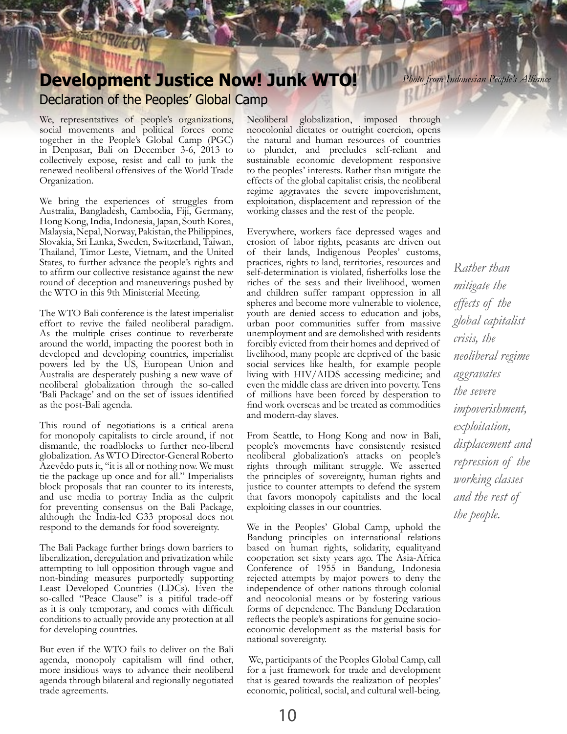## **Development Justice Now! Junk WTO!** Declaration of the Peoples' Global Camp

We, representatives of people's organizations, social movements and political forces come together in the People's Global Camp (PGC) in Denpasar, Bali on December 3-6, 2013 to collectively expose, resist and call to junk the renewed neoliberal offensives of the World Trade Organization.

We bring the experiences of struggles from Australia, Bangladesh, Cambodia, Fiji, Germany, Hong Kong, India, Indonesia, Japan, South Korea, Malaysia, Nepal, Norway, Pakistan, the Philippines, Slovakia, Sri Lanka, Sweden, Switzerland, Taiwan, Thailand, Timor Leste, Vietnam, and the United States, to further advance the people's rights and to affirm our collective resistance against the new round of deception and maneuverings pushed by the WTO in this 9th Ministerial Meeting.

The WTO Bali conference is the latest imperialist effort to revive the failed neoliberal paradigm. As the multiple crises continue to reverberate around the world, impacting the poorest both in developed and developing countries, imperialist powers led by the US, European Union and Australia are desperately pushing a new wave of neoliberal globalization through the so-called 'Bali Package' and on the set of issues identified as the post-Bali agenda.

This round of negotiations is a critical arena for monopoly capitalists to circle around, if not dismantle, the roadblocks to further neo-liberal globalization. As WTO Director-General Roberto Azevêdo puts it, "it is all or nothing now. We must tie the package up once and for all." Imperialists block proposals that ran counter to its interests, and use media to portray India as the culprit for preventing consensus on the Bali Package, although the India-led G33 proposal does not respond to the demands for food sovereignty.

The Bali Package further brings down barriers to liberalization, deregulation and privatization while attempting to lull opposition through vague and non-binding measures purportedly supporting Least Developed Countries (LDCs). Even the so-called "Peace Clause" is a pitiful trade-off as it is only temporary, and comes with difficult conditions to actually provide any protection at all for developing countries.

But even if the WTO fails to deliver on the Bali agenda, monopoly capitalism will find other, more insidious ways to advance their neoliberal agenda through bilateral and regionally negotiated trade agreements.

Neoliberal globalization, imposed through neocolonial dictates or outright coercion, opens the natural and human resources of countries to plunder, and precludes self-reliant and sustainable economic development responsive to the peoples' interests. Rather than mitigate the effects of the global capitalist crisis, the neoliberal regime aggravates the severe impoverishment, exploitation, displacement and repression of the working classes and the rest of the people.

Everywhere, workers face depressed wages and erosion of labor rights, peasants are driven out of their lands, Indigenous Peoples' customs, practices, rights to land, territories, resources and self-determination is violated, fisherfolks lose the riches of the seas and their livelihood, women and children suffer rampant oppression in all spheres and become more vulnerable to violence, youth are denied access to education and jobs, urban poor communities suffer from massive unemployment and are demolished with residents forcibly evicted from their homes and deprived of livelihood, many people are deprived of the basic social services like health, for example people living with HIV/AIDS accessing medicine; and even the middle class are driven into poverty. Tens of millions have been forced by desperation to find work overseas and be treated as commodities and modern-day slaves.

From Seattle, to Hong Kong and now in Bali, people's movements have consistently resisted neoliberal globalization's attacks on people's rights through militant struggle. We asserted the principles of sovereignty, human rights and justice to counter attempts to defend the system that favors monopoly capitalists and the local exploiting classes in our countries.

We in the Peoples' Global Camp, uphold the Bandung principles on international relations based on human rights, solidarity, equalityand cooperation set sixty years ago. The Asia-Africa Conference of 1955 in Bandung, Indonesia rejected attempts by major powers to deny the independence of other nations through colonial and neocolonial means or by fostering various forms of dependence. The Bandung Declaration reflects the people's aspirations for genuine socioeconomic development as the material basis for national sovereignty.

 We, participants of the Peoples Global Camp, call for a just framework for trade and development that is geared towards the realization of peoples' economic, political, social, and cultural well-being.

10

*Photo from Indonesian People's Alliance*

*Rather than mitigate the effects of the global capitalist crisis, the neoliberal regime aggravates the severe impoverishment, exploitation, displacement and repression of the working classes and the rest of the people.*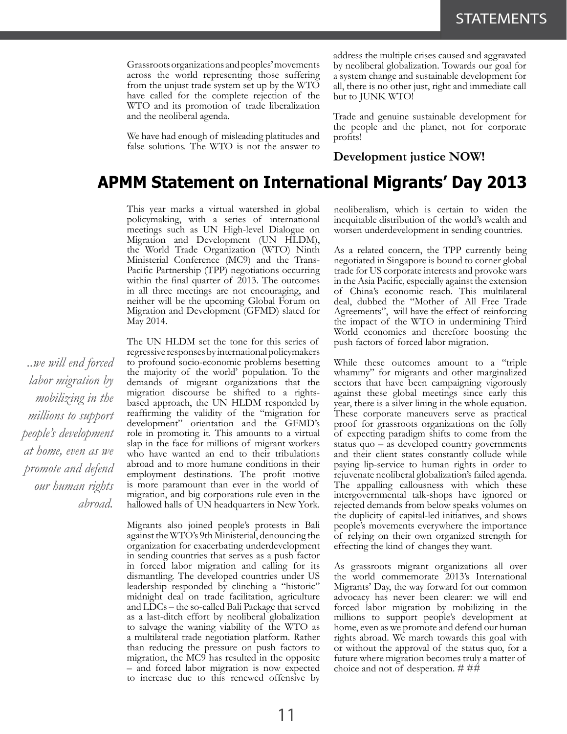Grassroots organizations and peoples' movements across the world representing those suffering from the unjust trade system set up by the WTO have called for the complete rejection of the WTO and its promotion of trade liberalization and the neoliberal agenda.

We have had enough of misleading platitudes and false solutions. The WTO is not the answer to address the multiple crises caused and aggravated by neoliberal globalization. Towards our goal for a system change and sustainable development for all, there is no other just, right and immediate call but to JUNK WTO!

Trade and genuine sustainable development for the people and the planet, not for corporate profits!

## **Development justice NOW!**

## **APMM Statement on International Migrants' Day 2013**

This year marks a virtual watershed in global policymaking, with a series of international meetings such as UN High-level Dialogue on Migration and Development (UN HLDM), the World Trade Organization (WTO) Ninth Ministerial Conference (MC9) and the Trans-Pacific Partnership (TPP) negotiations occurring within the final quarter of 2013. The outcomes in all three meetings are not encouraging, and neither will be the upcoming Global Forum on Migration and Development (GFMD) slated for May 2014.

The UN HLDM set the tone for this series of regressive responses by international policymakers to profound socio-economic problems besetting the majority of the world' population. To the demands of migrant organizations that the migration discourse be shifted to a rightsbased approach, the UN HLDM responded by reaffirming the validity of the "migration for development" orientation and the GFMD's role in promoting it. This amounts to a virtual slap in the face for millions of migrant workers who have wanted an end to their tribulations abroad and to more humane conditions in their employment destinations. The profit motive is more paramount than ever in the world of migration, and big corporations rule even in the hallowed halls of UN headquarters in New York.

Migrants also joined people's protests in Bali against the WTO's 9th Ministerial, denouncing the organization for exacerbating underdevelopment in sending countries that serves as a push factor in forced labor migration and calling for its dismantling. The developed countries under US leadership responded by clinching a "historic" midnight deal on trade facilitation, agriculture and LDCs – the so-called Bali Package that served as a last-ditch effort by neoliberal globalization to salvage the waning viability of the WTO as a multilateral trade negotiation platform. Rather than reducing the pressure on push factors to migration, the MC9 has resulted in the opposite – and forced labor migration is now expected to increase due to this renewed offensive by neoliberalism, which is certain to widen the inequitable distribution of the world's wealth and worsen underdevelopment in sending countries.

As a related concern, the TPP currently being negotiated in Singapore is bound to corner global trade for US corporate interests and provoke wars in the Asia Pacific, especially against the extension of China's economic reach. This multilateral deal, dubbed the "Mother of All Free Trade Agreements", will have the effect of reinforcing the impact of the WTO in undermining Third World economies and therefore boosting the push factors of forced labor migration.

While these outcomes amount to a "triple whammy" for migrants and other marginalized sectors that have been campaigning vigorously against these global meetings since early this year, there is a silver lining in the whole equation. These corporate maneuvers serve as practical proof for grassroots organizations on the folly of expecting paradigm shifts to come from the status quo – as developed country governments and their client states constantly collude while paying lip-service to human rights in order to rejuvenate neoliberal globalization's failed agenda. The appalling callousness with which these intergovernmental talk-shops have ignored or rejected demands from below speaks volumes on the duplicity of capital-led initiatives, and shows people's movements everywhere the importance of relying on their own organized strength for effecting the kind of changes they want.

As grassroots migrant organizations all over the world commemorate 2013's International Migrants' Day, the way forward for our common advocacy has never been clearer: we will end forced labor migration by mobilizing in the millions to support people's development at home, even as we promote and defend our human rights abroad. We march towards this goal with or without the approval of the status quo, for a future where migration becomes truly a matter of choice and not of desperation. # ##

*..we will end forced labor migration by mobilizing in the millions to support people's development at home, even as we promote and defend our human rights abroad.*